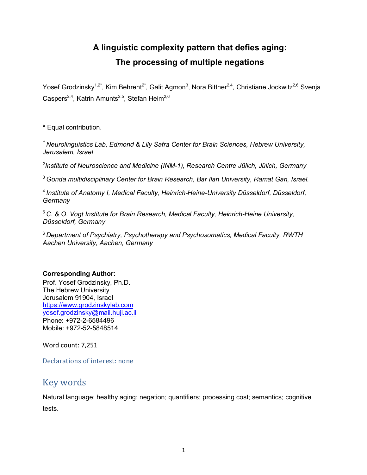# **A linguistic complexity pattern that defies aging: The processing of multiple negations**

Yosef Grodzinsky<sup>1,2\*</sup>, Kim Behrent<sup>2\*</sup>, Galit Agmon<sup>3</sup>, Nora Bittner<sup>2,4</sup>, Christiane Jockwitz<sup>2,6</sup> Svenja Caspers<sup>2,4</sup>, Katrin Amunts<sup>2,5</sup>, Stefan Heim<sup>2,6</sup>

**\*** Equal contribution.

*1 Neurolinguistics Lab, Edmond & Lily Safra Center for Brain Sciences, Hebrew University, Jerusalem, Israel*

*2 Institute of Neuroscience and Medicine (INM-1), Research Centre Jülich, Jülich, Germany*

<sup>3</sup> *Gonda multidisciplinary Center for Brain Research, Bar Ilan University, Ramat Gan, Israel.*

<sup>4</sup> *Institute of Anatomy I, Medical Faculty, Heinrich-Heine-University Düsseldorf, Düsseldorf, Germany*

<sup>5</sup> *C. & O. Vogt Institute for Brain Research, Medical Faculty, Heinrich-Heine University, Düsseldorf, Germany*

<sup>6</sup> *Department of Psychiatry, Psychotherapy and Psychosomatics, Medical Faculty, RWTH Aachen University, Aachen, Germany*

### **Corresponding Author:**

Prof. Yosef Grodzinsky, Ph.D. The Hebrew University Jerusalem 91904, Israel https://www.grodzinskylab.com yosef.grodzinsky@mail.huji.ac.il Phone: +972-2-6584496 Mobile: +972-52-5848514

Word count: 7,251

Declarations of interest: none

# Key words

Natural language; healthy aging; negation; quantifiers; processing cost; semantics; cognitive tests.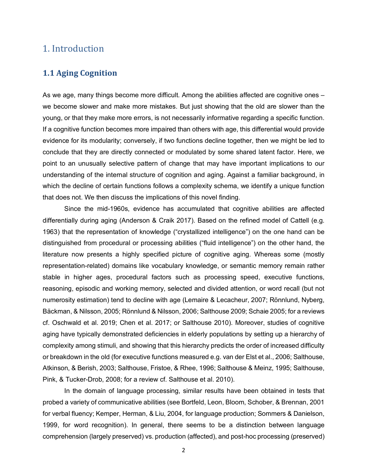## 1. Introduction

### **1.1 Aging Cognition**

As we age, many things become more difficult. Among the abilities affected are cognitive ones – we become slower and make more mistakes. But just showing that the old are slower than the young, or that they make more errors, is not necessarily informative regarding a specific function. If a cognitive function becomes more impaired than others with age, this differential would provide evidence for its modularity; conversely, if two functions decline together, then we might be led to conclude that they are directly connected or modulated by some shared latent factor. Here, we point to an unusually selective pattern of change that may have important implications to our understanding of the internal structure of cognition and aging. Against a familiar background, in which the decline of certain functions follows a complexity schema, we identify a unique function that does not. We then discuss the implications of this novel finding.

Since the mid-1960s, evidence has accumulated that cognitive abilities are affected differentially during aging (Anderson & Craik 2017). Based on the refined model of Cattell (e.g. 1963) that the representation of knowledge ("crystallized intelligence") on the one hand can be distinguished from procedural or processing abilities ("fluid intelligence") on the other hand, the literature now presents a highly specified picture of cognitive aging. Whereas some (mostly representation-related) domains like vocabulary knowledge, or semantic memory remain rather stable in higher ages, procedural factors such as processing speed, executive functions, reasoning, episodic and working memory, selected and divided attention, or word recall (but not numerosity estimation) tend to decline with age (Lemaire & Lecacheur, 2007; Rönnlund, Nyberg, Bäckman, & Nilsson, 2005; Rönnlund & Nilsson, 2006; Salthouse 2009; Schaie 2005; for a reviews cf. Oschwald et al. 2019; Chen et al. 2017; or Salthouse 2010). Moreover, studies of cognitive aging have typically demonstrated deficiencies in elderly populations by setting up a hierarchy of complexity among stimuli, and showing that this hierarchy predicts the order of increased difficulty or breakdown in the old (for executive functions measured e.g. van der Elst et al., 2006; Salthouse, Atkinson, & Berish, 2003; Salthouse, Fristoe, & Rhee, 1996; Salthouse & Meinz, 1995; Salthouse, Pink, & Tucker-Drob, 2008; for a review cf. Salthouse et al. 2010).

In the domain of language processing, similar results have been obtained in tests that probed a variety of communicative abilities (see Bortfeld, Leon, Bloom, Schober, & Brennan, 2001 for verbal fluency; Kemper, Herman, & Liu, 2004, for language production; Sommers & Danielson, 1999, for word recognition). In general, there seems to be a distinction between language comprehension (largely preserved) vs. production (affected), and post-hoc processing (preserved)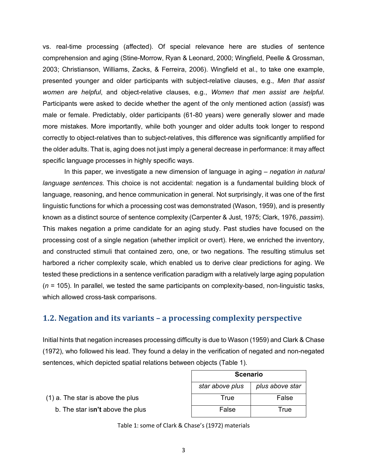vs. real-time processing (affected). Of special relevance here are studies of sentence comprehension and aging (Stine-Morrow, Ryan & Leonard, 2000; Wingfield, Peelle & Grossman, 2003; Christianson, Williams, Zacks, & Ferreira, 2006). Wingfield et al., to take one example, presented younger and older participants with subject-relative clauses, e.g., *Men that assist women are helpful*, and object-relative clauses, e.g., *Women that men assist are helpful*. Participants were asked to decide whether the agent of the only mentioned action (*assist*) was male or female. Predictably, older participants (61-80 years) were generally slower and made more mistakes. More importantly, while both younger and older adults took longer to respond correctly to object-relatives than to subject-relatives, this difference was significantly amplified for the older adults. That is, aging does not just imply a general decrease in performance: it may affect specific language processes in highly specific ways.

In this paper, we investigate a new dimension of language in aging – *negation in natural language sentences*. This choice is not accidental: negation is a fundamental building block of language, reasoning, and hence communication in general. Not surprisingly, it was one of the first linguistic functions for which a processing cost was demonstrated (Wason, 1959), and is presently known as a distinct source of sentence complexity (Carpenter & Just, 1975; Clark, 1976, *passim*). This makes negation a prime candidate for an aging study. Past studies have focused on the processing cost of a single negation (whether implicit or overt). Here, we enriched the inventory, and constructed stimuli that contained zero, one, or two negations. The resulting stimulus set harbored a richer complexity scale, which enabled us to derive clear predictions for aging. We tested these predictions in a sentence verification paradigm with a relatively large aging population (*n* = 105). In parallel, we tested the same participants on complexity-based, non-linguistic tasks, which allowed cross-task comparisons.

### **1.2. Negation and its variants – a processing complexity perspective**

Initial hints that negation increases processing difficulty is due to Wason (1959) and Clark & Chase (1972), who followed his lead. They found a delay in the verification of negated and non-negated sentences, which depicted spatial relations between objects (Table 1).

|                                     | star above plus | plus above star |
|-------------------------------------|-----------------|-----------------|
| $(1)$ a. The star is above the plus | True            | False           |
| b. The star isn't above the plus    | False           | True            |

| True  | Fals |
|-------|------|
| False | Tru  |
|       |      |

**Scenario**

Table 1: some of Clark & Chase's (1972) materials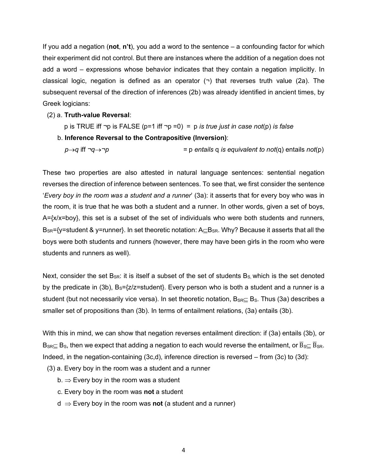If you add a negation (**not**, **n't**), you add a word to the sentence – a confounding factor for which their experiment did not control. But there are instances where the addition of a negation does not add a word – expressions whose behavior indicates that they contain a negation implicitly. In classical logic, negation is defined as an operator  $(\neg)$  that reverses truth value (2a). The subsequent reversal of the direction of inferences (2b) was already identified in ancient times, by Greek logicians:

#### (2) a. **Truth-value Reversal**:

p is TRUE iff ¬p is FALSE (p=1 iff ¬p =0) = p *is true just in case not*(p) *is false*

b. **Inference Reversal to the Contrapositive (Inversion)**:

*p* $\rightarrow$ *q* iff  $\neg$  $\rightarrow$  $\rightarrow$ *p*  $\rightarrow$  *p*  $\rightarrow$  *p* entails q *is equivalent to not*(q) entails *not*(p)

These two properties are also attested in natural language sentences: sentential negation reverses the direction of inference between sentences. To see that, we first consider the sentence '*Every boy in the room was a student and a runner*' (3a): it asserts that for every boy who was in the room, it is true that he was both a student and a runner. In other words, given a set of boys,  $A = \{x/x = boy\}$ , this set is a subset of the set of individuals who were both students and runners,  $B_{SR}$ ={y=student & y=runner}. In set theoretic notation:  $A \subseteq B_{SR}$ . Why? Because it asserts that all the boys were both students and runners (however, there may have been girls in the room who were students and runners as well).

Next, consider the set  $B_{SR}$ : it is itself a subset of the set of students  $B_{S}$ , which is the set denoted by the predicate in (3b),  $B_s = \{z/z = student\}$ . Every person who is both a student and a runner is a student (but not necessarily vice versa). In set theoretic notation,  $B_{SR} \subset B_S$ . Thus (3a) describes a smaller set of propositions than (3b). In terms of entailment relations, (3a) entails (3b).

With this in mind, we can show that negation reverses entailment direction: if (3a) entails (3b), or B<sub>SR</sub> $\subseteq$  B<sub>S</sub>, then we expect that adding a negation to each would reverse the entailment, or  $\overline{B}_{S}\subseteq \overline{B}_{SR}$ . Indeed, in the negation-containing (3c,d), inference direction is reversed – from (3c) to (3d):

- (3) a. Every boy in the room was a student and a runner
	- $b. \Rightarrow$  Every boy in the room was a student
	- c. Every boy in the room was **not** a student
	- $d \Rightarrow$  Every boy in the room was **not** (a student and a runner)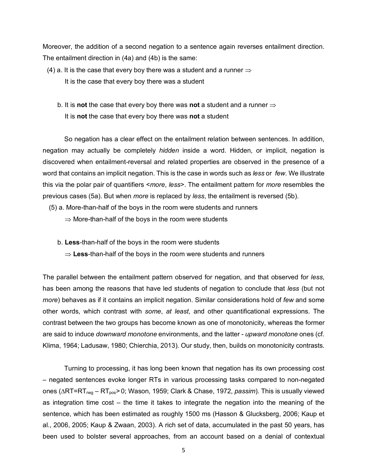Moreover, the addition of a second negation to a sentence again reverses entailment direction. The entailment direction in (4a) and (4b) is the same:

- (4) a. It is the case that every boy there was a student and a runner  $\Rightarrow$  It is the case that every boy there was a student
	- b. It is **not** the case that every boy there was **not** a student and a runner  $\Rightarrow$ It is **not** the case that every boy there was **not** a student

So negation has a clear effect on the entailment relation between sentences. In addition, negation may actually be completely *hidden* inside a word. Hidden, or implicit, negation is discovered when entailment-reversal and related properties are observed in the presence of a word that contains an implicit negation. This is the case in words such as *less* or *few*. We illustrate this via the polar pair of quantifiers <*more*, *less*>. The entailment pattern for *more* resembles the previous cases (5a). But when *more* is replaced by *less*, the entailment is reversed (5b).

- (5) a. More-than-half of the boys in the room were students and runners
	- $\Rightarrow$  More-than-half of the boys in the room were students
	- b. **Less**-than-half of the boys in the room were students
		- $\Rightarrow$  Less-than-half of the boys in the room were students and runners

The parallel between the entailment pattern observed for negation, and that observed for *less*, has been among the reasons that have led students of negation to conclude that *less* (but not *more*) behaves as if it contains an implicit negation. Similar considerations hold of *few* and some other words, which contrast with *some*, *at least*, and other quantificational expressions. The contrast between the two groups has become known as one of monotonicity, whereas the former are said to induce *downward monotone* environments, and the latter - *upward monotone* ones (cf. Klima, 1964; Ladusaw, 1980; Chierchia, 2013). Our study, then, builds on monotonicity contrasts.

Turning to processing, it has long been known that negation has its own processing cost – negated sentences evoke longer RTs in various processing tasks compared to non-negated ones (∆RT=RT<sub>neg</sub> – RT<sub>pos</sub>> 0; Wason, 1959; Clark & Chase, 1972, *passim*). This is usually viewed as integration time cost – the time it takes to integrate the negation into the meaning of the sentence, which has been estimated as roughly 1500 ms (Hasson & Glucksberg, 2006; Kaup et al., 2006, 2005; Kaup & Zwaan, 2003). A rich set of data, accumulated in the past 50 years, has been used to bolster several approaches, from an account based on a denial of contextual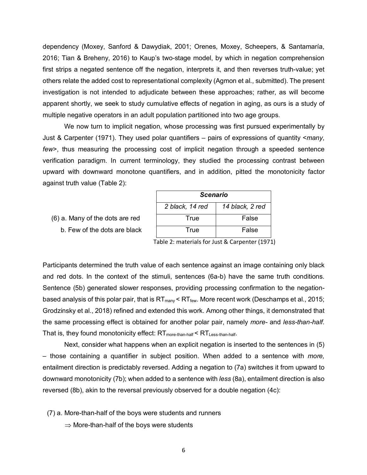dependency (Moxey, Sanford & Dawydiak, 2001; Orenes, Moxey, Scheepers, & Santamaría, 2016; Tian & Breheny, 2016) to Kaup's two-stage model, by which in negation comprehension first strips a negated sentence off the negation, interprets it, and then reverses truth-value; yet others relate the added cost to representational complexity (Agmon et al., submitted). The present investigation is not intended to adjudicate between these approaches; rather, as will become apparent shortly, we seek to study cumulative effects of negation in aging, as ours is a study of multiple negative operators in an adult population partitioned into two age groups.

We now turn to implicit negation, whose processing was first pursued experimentally by Just & Carpenter (1971). They used polar quantifiers – pairs of expressions of quantity <*many*, *few*>, thus measuring the processing cost of implicit negation through a speeded sentence verification paradigm. In current terminology, they studied the processing contrast between upward with downward monotone quantifiers, and in addition, pitted the monotonicity factor against truth value (Table 2):

 $(6)$  a. Many of the dots are red b. Few of the dots are black

| <b>Scenario</b> |                 |  |  |
|-----------------|-----------------|--|--|
| 2 black, 14 red | 14 black, 2 red |  |  |
| True            | False           |  |  |
| True            | False           |  |  |

Table 2: materials for Just & Carpenter (1971)

Participants determined the truth value of each sentence against an image containing only black and red dots. In the context of the stimuli, sentences (6a-b) have the same truth conditions. Sentence (5b) generated slower responses, providing processing confirmation to the negationbased analysis of this polar pair, that is  $RT_{\text{many}}$  <  $RT_{\text{few}}$ . More recent work (Deschamps et al., 2015; Grodzinsky et al., 2018) refined and extended this work. Among other things, it demonstrated that the same processing effect is obtained for another polar pair, namely *more-* and *less-than-half*. That is, they found monotonicity effect:  $RT_{more\text{-}than\text{-}half}$  <  $RT_{Less\text{-}than\text{-}half}$ .

Next, consider what happens when an explicit negation is inserted to the sentences in (5) – those containing a quantifier in subject position. When added to a sentence with *more,*  entailment direction is predictably reversed. Adding a negation to (7a) switches it from upward to downward monotonicity (7b); when added to a sentence with *less* (8a), entailment direction is also reversed (8b), akin to the reversal previously observed for a double negation (4c):

- (7) a. More-than-half of the boys were students and runners
	- $\Rightarrow$  More-than-half of the boys were students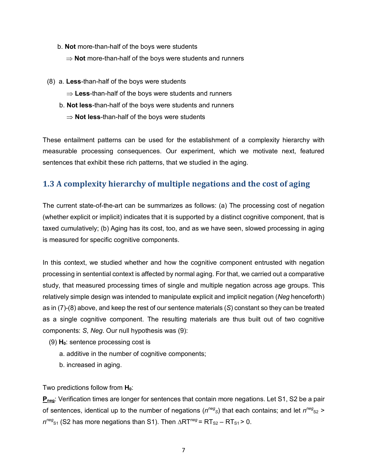- b. **Not** more-than-half of the boys were students
	- $\Rightarrow$  **Not** more-than-half of the boys were students and runners
- (8) a. **Less**-than-half of the boys were students
	- $\Rightarrow$  Less-than-half of the boys were students and runners
	- b. **Not less**-than-half of the boys were students and runners
		- $\Rightarrow$  **Not less-than-half of the boys were students**

These entailment patterns can be used for the establishment of a complexity hierarchy with measurable processing consequences. Our experiment, which we motivate next, featured sentences that exhibit these rich patterns, that we studied in the aging.

### **1.3 A complexity hierarchy of multiple negations and the cost of aging**

The current state-of-the-art can be summarizes as follows: (a) The processing cost of negation (whether explicit or implicit) indicates that it is supported by a distinct cognitive component, that is taxed cumulatively; (b) Aging has its cost, too, and as we have seen, slowed processing in aging is measured for specific cognitive components.

In this context, we studied whether and how the cognitive component entrusted with negation processing in sentential context is affected by normal aging. For that, we carried out a comparative study, that measured processing times of single and multiple negation across age groups. This relatively simple design was intended to manipulate explicit and implicit negation (*Neg* henceforth) as in (7)-(8) above, and keep the rest of our sentence materials (*S*) constant so they can be treated as a single cognitive component. The resulting materials are thus built out of two cognitive components: *S*, *Neg*. Our null hypothesis was (9):

- $(9)$   $H_0$ : sentence processing cost is
	- a. additive in the number of cognitive components;
	- b. increased in aging.

Two predictions follow from **H**<sub>0</sub>:

**Pneg**: Verification times are longer for sentences that contain more negations. Let S1, S2 be a pair of sentences, identical up to the number of negations ( $n^{neg}$ <sub>S</sub>) that each contains; and let  $n^{neg}$ <sub>S2</sub> >  $n^{neg}_{s1}$  (S2 has more negations than S1). Then  $\triangle RT^{neg}$  =  $RT_{s2}$  –  $RT_{s1}$  > 0.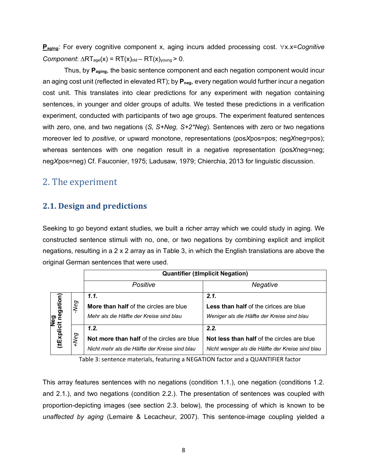**P<sub>aging</sub>: For every cognitive component x, aging incurs added processing cost.** ∀x.x=*Cognitive Component*:  $\triangle RT_{aqe}(x) = RT(x)_{old} - RT(x)_{young} > 0$ .

Thus, by **Paging**, the basic sentence component and each negation component would incur an aging cost unit (reflected in elevated RT); by  $P_{\text{neg}}$ , every negation would further incur a negation cost unit. This translates into clear predictions for any experiment with negation containing sentences, in younger and older groups of adults. We tested these predictions in a verification experiment, conducted with participants of two age groups. The experiment featured sentences with zero, one, and two negations (*S, S+Neg, S+2\*Neg*). Sentences with zero or two negations moreover led to *positive*, or upward monotone, representations (pos*X*pos=pos; neg*X*neg=pos); whereas sentences with one negation result in a negative representation (pos*X*neg=neg; neg*X*pos=neg) Cf. Fauconier, 1975; Ladusaw, 1979; Chierchia, 2013 for linguistic discussion.

# 2. The experiment

### **2.1. Design and predictions**

Seeking to go beyond extant studies, we built a richer array which we could study in aging. We constructed sentence stimuli with no, one, or two negations by combining explicit and implicit negations, resulting in a 2 x 2 array as in Table 3, in which the English translations are above the original German sentences that were used.

|                                                                                                 |     |                   | <b>Quantifier (±Implicit Negation)</b>                                           |                                                                                               |  |
|-------------------------------------------------------------------------------------------------|-----|-------------------|----------------------------------------------------------------------------------|-----------------------------------------------------------------------------------------------|--|
|                                                                                                 |     |                   | Positive                                                                         | Negative                                                                                      |  |
|                                                                                                 |     |                   | 1.1.                                                                             | 2.1.                                                                                          |  |
|                                                                                                 |     | Neg               | More than half of the circles are blue                                           | <b>Less than half of the cirices are blue</b>                                                 |  |
|                                                                                                 | ped |                   | Mehr als die Hälfte der Kreise sind blau                                         | Weniger als die Hälfte der Kreise sind blau                                                   |  |
| (±Explicit negation)                                                                            |     | $e_{\mathcal{O}}$ | 1.2.                                                                             | 2.2.                                                                                          |  |
|                                                                                                 |     |                   | Not more than half of the circles are blue                                       | <b>Not less than half of the circles are blue</b>                                             |  |
|                                                                                                 |     |                   | Nicht mehr als die Hälfte der Kreise sind blau                                   | Nicht weniger als die Hälfte der Kreise sind blau                                             |  |
|                                                                                                 |     |                   | Table 3: sentence materials, featuring a NEGATION factor and a QUANTIFIER factor |                                                                                               |  |
|                                                                                                 |     |                   |                                                                                  |                                                                                               |  |
| This array features sentences with no negations (condition 1.1.), one negation (conditions 1.2. |     |                   |                                                                                  |                                                                                               |  |
|                                                                                                 |     |                   |                                                                                  | and 2.1.), and two negations (condition 2.2.). The presentation of sentences was coupled with |  |
|                                                                                                 |     |                   |                                                                                  | proportion-depicting images (see section 2.3. below), the processing of which is known to be  |  |
| unaffected by aging (Lemaire & Lecacheur, 2007). This sentence-image coupling yielded a         |     |                   |                                                                                  |                                                                                               |  |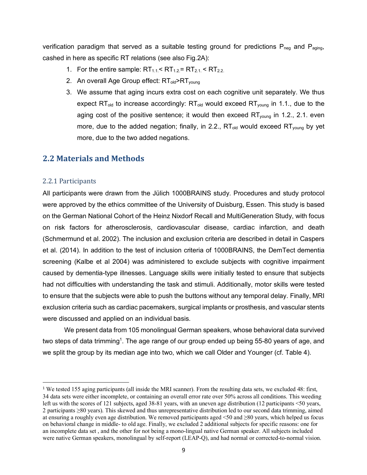verification paradigm that served as a suitable testing ground for predictions  $P_{\text{neg}}$  and  $P_{\text{aging}}$ , cashed in here as specific RT relations (see also Fig.2A):

- 1. For the entire sample:  $RT_{1.1}$  <  $RT_{1.2}$  =  $RT_{2.1}$  <  $RT_{2.2}$ .
- 2. An overall Age Group effect: RT<sub>old</sub>>RT<sub>young</sub>
- 3. We assume that aging incurs extra cost on each cognitive unit separately. We thus expect RT<sub>old</sub> to increase accordingly:  $RT_{old}$  would exceed RT<sub>young</sub> in 1.1., due to the aging cost of the positive sentence; it would then exceed RT<sub>young</sub> in 1.2., 2.1. even more, due to the added negation; finally, in 2.2.,  $RT_{old}$  would exceed  $RT_{volume}$  by yet more, due to the two added negations.

### **2.2 Materials and Methods**

#### 2.2.1 Participants

All participants were drawn from the Jülich 1000BRAINS study. Procedures and study protocol were approved by the ethics committee of the University of Duisburg, Essen. This study is based on the German National Cohort of the Heinz Nixdorf Recall and MultiGeneration Study, with focus on risk factors for atherosclerosis, cardiovascular disease, cardiac infarction, and death (Schmermund et al. 2002). The inclusion and exclusion criteria are described in detail in Caspers et al. (2014). In addition to the test of inclusion criteria of 1000BRAINS, the DemTect dementia screening (Kalbe et al 2004) was administered to exclude subjects with cognitive impairment caused by dementia-type illnesses. Language skills were initially tested to ensure that subjects had not difficulties with understanding the task and stimuli. Additionally, motor skills were tested to ensure that the subjects were able to push the buttons without any temporal delay. Finally, MRI exclusion criteria such as cardiac pacemakers, surgical implants or prosthesis, and vascular stents were discussed and applied on an individual basis.

We present data from 105 monolingual German speakers, whose behavioral data survived two steps of data trimming<sup>1</sup>. The age range of our group ended up being 55-80 years of age, and we split the group by its median age into two, which we call Older and Younger (cf. Table 4).

<sup>&</sup>lt;sup>1</sup> We tested 155 aging participants (all inside the MRI scanner). From the resulting data sets, we excluded 48: first, 34 data sets were either incomplete, or containing an overall error rate over 50% across all conditions. This weeding left us with the scores of 121 subjects, aged 38-81 years, with an uneven age distribution (12 participants <50 years, 2 participants ≥80 years). This skewed and thus unrepresentative distribution led to our second data trimming, aimed at ensuring a roughly even age distribution. We removed participants aged  $\leq 50$  and  $\geq 80$  years, which helped us focus on behavioral change in middle- to old age. Finally, we excluded 2 additional subjects for specific reasons: one for an incomplete data set , and the other for not being a mono-lingual native German speaker. All subjects included were native German speakers, monolingual by self-report (LEAP-Q), and had normal or corrected-to-normal vision.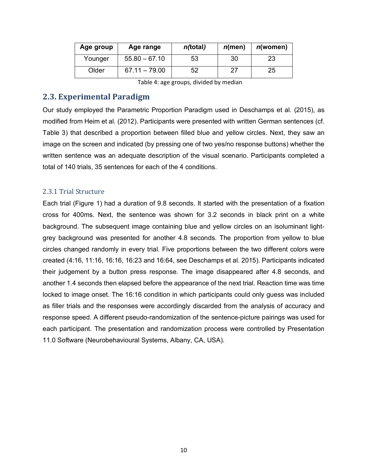| Age group | Age range       | <i>n</i> (total) | $n$ (men) | n(women) |
|-----------|-----------------|------------------|-----------|----------|
| Younger   | $55.80 - 67.10$ | 53               | 30        | 23       |
| Older     | $67.11 - 79.00$ | 52               | 27        | 25       |

Table 4: age groups, divided by median

### **2.3. Experimental Paradigm**

Our study employed the Parametric Proportion Paradigm used in Deschamps et al. (2015), as modified from Heim et al. (2012). Participants were presented with written German sentences (cf. Table 3) that described a proportion between filled blue and yellow circles. Next, they saw an image on the screen and indicated (by pressing one of two yes/no response buttons) whether the written sentence was an adequate description of the visual scenario. Participants completed a total of 140 trials, 35 sentences for each of the 4 conditions.

#### 2.3.1 Trial Structure

Each trial (Figure 1) had a duration of 9.8 seconds. It started with the presentation of a fixation cross for 400ms. Next, the sentence was shown for 3.2 seconds in black print on a white background. The subsequent image containing blue and yellow circles on an isoluminant lightgrey background was presented for another 4.8 seconds. The proportion from yellow to blue circles changed randomly in every trial. Five proportions between the two different colors were created (4:16, 11:16, 16:16, 16:23 and 16:64, see Deschamps et al. 2015). Participants indicated their judgement by a button press response. The image disappeared after 4.8 seconds, and another 1.4 seconds then elapsed before the appearance of the next trial. Reaction time was time locked to image onset. The 16:16 condition in which participants could only guess was included as filler trials and the responses were accordingly discarded from the analysis of accuracy and response speed. A different pseudo-randomization of the sentence-picture pairings was used for each participant. The presentation and randomization process were controlled by Presentation 11.0 Software (Neurobehavioural Systems, Albany, CA, USA).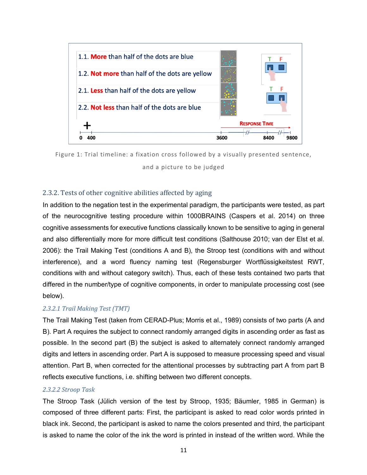



#### 2.3.2. Tests of other cognitive abilities affected by aging

In addition to the negation test in the experimental paradigm, the participants were tested, as part of the neurocognitive testing procedure within 1000BRAINS (Caspers et al. 2014) on three cognitive assessments for executive functions classically known to be sensitive to aging in general and also differentially more for more difficult test conditions (Salthouse 2010; van der Elst et al. 2006): the Trail Making Test (conditions A and B), the Stroop test (conditions with and without interference), and a word fluency naming test (Regensburger Wortflüssigkeitstest RWT, conditions with and without category switch). Thus, each of these tests contained two parts that differed in the number/type of cognitive components, in order to manipulate processing cost (see below).

#### *2.3.2.1 Trail Making Test (TMT)*

The Trail Making Test (taken from CERAD-Plus; Morris et al., 1989) consists of two parts (A and B). Part A requires the subject to connect randomly arranged digits in ascending order as fast as possible. In the second part (B) the subject is asked to alternately connect randomly arranged digits and letters in ascending order. Part A is supposed to measure processing speed and visual attention. Part B, when corrected for the attentional processes by subtracting part A from part B reflects executive functions, i.e. shifting between two different concepts.

#### *2.3.2.2 Stroop Task*

The Stroop Task (Jülich version of the test by Stroop, 1935; Bäumler, 1985 in German) is composed of three different parts: First, the participant is asked to read color words printed in black ink. Second, the participant is asked to name the colors presented and third, the participant is asked to name the color of the ink the word is printed in instead of the written word. While the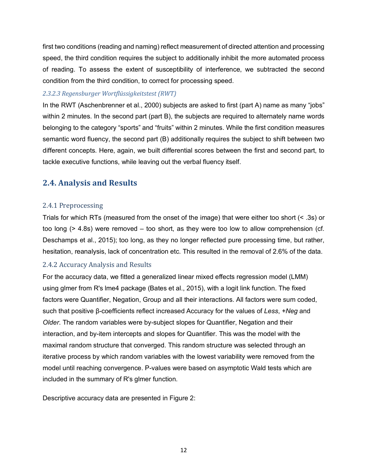first two conditions (reading and naming) reflect measurement of directed attention and processing speed, the third condition requires the subject to additionally inhibit the more automated process of reading. To assess the extent of susceptibility of interference, we subtracted the second condition from the third condition, to correct for processing speed.

#### *2.3.2.3 Regensburger Wortflüssigkeitstest (RWT)*

In the RWT (Aschenbrenner et al., 2000) subjects are asked to first (part A) name as many "jobs" within 2 minutes. In the second part (part B), the subjects are required to alternately name words belonging to the category "sports" and "fruits" within 2 minutes. While the first condition measures semantic word fluency, the second part (B) additionally requires the subject to shift between two different concepts. Here, again, we built differential scores between the first and second part, to tackle executive functions, while leaving out the verbal fluency itself.

### **2.4. Analysis and Results**

#### 2.4.1 Preprocessing

Trials for which RTs (measured from the onset of the image) that were either too short (< .3s) or too long (> 4.8s) were removed – too short, as they were too low to allow comprehension (cf. Deschamps et al., 2015); too long, as they no longer reflected pure processing time, but rather, hesitation, reanalysis, lack of concentration etc. This resulted in the removal of 2.6% of the data.

### 2.4.2 Accuracy Analysis and Results

For the accuracy data, we fitted a generalized linear mixed effects regression model (LMM) using glmer from R's lme4 package (Bates et al., 2015), with a logit link function. The fixed factors were Quantifier, Negation, Group and all their interactions. All factors were sum coded, such that positive β-coefficients reflect increased Accuracy for the values of *Less*, *+Neg* and *Older*. The random variables were by-subject slopes for Quantifier, Negation and their interaction, and by-item intercepts and slopes for Quantifier. This was the model with the maximal random structure that converged. This random structure was selected through an iterative process by which random variables with the lowest variability were removed from the model until reaching convergence. P-values were based on asymptotic Wald tests which are included in the summary of R's glmer function.

Descriptive accuracy data are presented in Figure 2: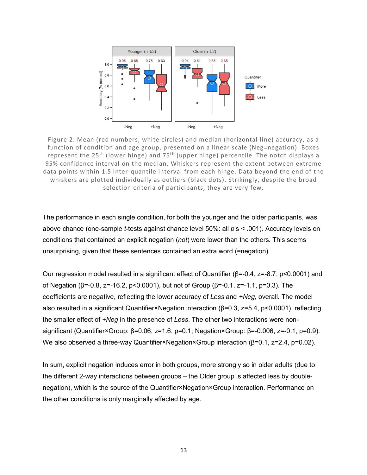

Figure 2: Mean (red numbers, white circles) and median (horizontal line) accuracy, as a function of condition and age group, presented on a linear scale (Neg=negation). Boxes represent the  $25<sup>th</sup>$  (lower hinge) and  $75<sup>th</sup>$  (upper hinge) percentile. The notch displays a 95% confidence interval on the median. Whiskers represent the extent between extreme data points within 1.5 inter-quantile interval from each hinge. Data beyond the end of the whiskers are plotted individually as outliers (black dots). Strikingly, despite the broad selection criteria of participants, they are very few.

The performance in each single condition, for both the younger and the older participants, was above chance (one-sample *t*-tests against chance level 50%: all *p*'s < .001). Accuracy levels on conditions that contained an explicit negation (*not*) were lower than the others. This seems unsurprising, given that these sentences contained an extra word (=negation).

Our regression model resulted in a significant effect of Quantifier (β=-0.4, z=-8.7, p<0.0001) and of Negation (β=-0.8, z=-16.2, p<0.0001), but not of Group (β=-0.1, z=-1.1, p=0.3). The coefficients are negative, reflecting the lower accuracy of *Less* and *+Neg*, overall. The model also resulted in a significant Quantifier×Negation interaction (β=0.3, z=5.4, p<0.0001), reflecting the smaller effect of *+Neg* in the presence of *Less*. The other two interactions were nonsignificant (Quantifier×Group: β=0.06, z=1.6, p=0.1; Negation×Group: β=-0.006, z=-0.1, p=0.9). We also observed a three-way Quantifier×Negation×Group interaction ( $β=0.1$ ,  $z=2.4$ ,  $p=0.02$ ).

In sum, explicit negation induces error in both groups, more strongly so in older adults (due to the different 2-way interactions between groups – the Older group is affected less by doublenegation), which is the source of the Quantifier×Negation×Group interaction. Performance on the other conditions is only marginally affected by age.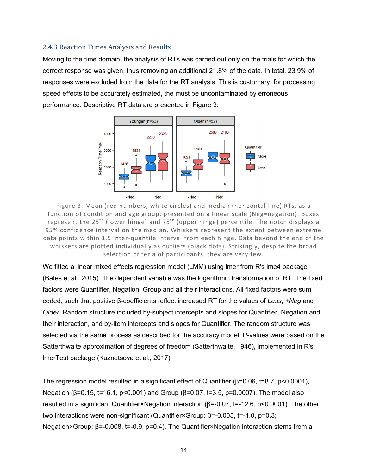#### 2.4.3 Reaction Times Analysis and Results

Moving to the time domain, the analysis of RTs was carried out only on the trials for which the correct response was given, thus removing an additional 21.8% of the data. In total, 23.9% of responses were excluded from the data for the RT analysis. This is customary: for processing speed effects to be accurately estimated, the must be uncontaminated by erroneous performance. Descriptive RT data are presented in Figure 3:



Figure 3: Mean (red numbers, white circles) and median (horizontal line) RTs, as a function of condition and age group, presented on a linear scale (Neg=negation). Boxes represent the 25<sup>th</sup> (lower hinge) and 75<sup>th</sup> (upper hinge) percentile. The notch displays a 95% confidence interval on the median. Whiskers represent the extent between extreme data points within 1.5 inter-quantile interval from each hinge. Data beyond the end of the whiskers are plotted individually as outliers (black dots). Strikingly, despite the broad selection criteria of participants, they are very few.

We fitted a linear mixed effects regression model (LMM) using lmer from R's lme4 package (Bates et al., 2015). The dependent variable was the logarithmic transformation of RT. The fixed factors were Quantifier, Negation, Group and all their interactions. All fixed factors were sum coded, such that positive β-coefficients reflect increased RT for the values of *Less*, *+Neg* and *Older*. Random structure included by-subject intercepts and slopes for Quantifier, Negation and their interaction, and by-item intercepts and slopes for Quantifier. The random structure was selected via the same process as described for the accuracy model. P-values were based on the Satterthwaite approximation of degrees of freedom (Satterthwaite, 1946), implemented in R's lmerTest package (Kuznetsova et al., 2017).

The regression model resulted in a significant effect of Quantifier (β=0.06, t=8.7, p<0.0001), Negation (β=0.15, t=16.1, p<0.001) and Group (β=0.07, t=3.5, p=0.0007). The model also resulted in a significant Quantifier×Negation interaction (β=-0.07, t=-12.6, p<0.0001). The other two interactions were non-significant (Quantifier×Group: β=-0.005, t=-1.0, p=0.3; Negation×Group: β=-0.008, t=-0.9, p=0.4). The Quantifier×Negation interaction stems from a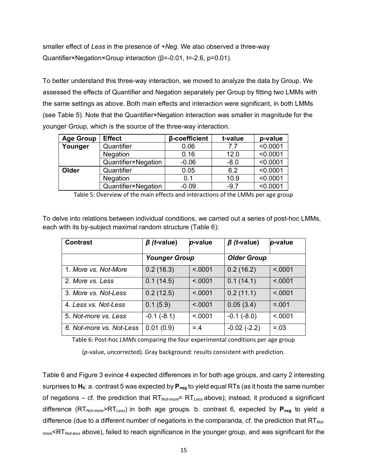smaller effect of *Less* in the presence of *+Neg*. We also observed a three-way Quantifier×Negation×Group interaction (β=-0.01, t=-2.6, p=0.01).

To better understand this three-way interaction, we moved to analyze the data by Group. We assessed the effects of Quantifier and Negation separately per Group by fitting two LMMs with the same settings as above. Both main effects and interaction were significant, in both LMMs (see Table 5). Note that the Quantifier×Negation interaction was smaller in magnitude for the younger Group, which is the source of the three-way interaction.

| <b>Age Group</b> | <b>Effect</b>       | β-coefficient | t-value | p-value  |
|------------------|---------------------|---------------|---------|----------|
| Younger          | Quantifier          | 0.06          | 77      | < 0.0001 |
|                  | <b>Negation</b>     | 0.16          | 12.0    | < 0.0001 |
|                  | Quantifier×Negation | $-0.06$       | $-8.0$  | < 0.0001 |
| Older            | Quantifier          | 0.05          | 6.2     | < 0.0001 |
|                  | <b>Negation</b>     | 0.1           | 10.9    | < 0.0001 |
|                  | Quantifier×Negation | $-0.09$       | $-9.7$  | < 0.0001 |

Table 5: Overview of the main effects and interactions of the LMMs per age group

To delve into relations between individual conditions, we carried out a series of post-hoc LMMs, each with its by-subject maximal random structure (Table 6):

| <b>Contrast</b>          | $\beta$ ( <i>t</i> -value) | p-value  | $\beta$ ( <i>t</i> -value) | p-value |
|--------------------------|----------------------------|----------|----------------------------|---------|
|                          | <b>Younger Group</b>       |          | <b>Older Group</b>         |         |
| 1. More vs. Not-More     | 0.2(16.3)                  | < 0001   | 0.2(16.2)                  | < .0001 |
| 2. More vs. Less         | 0.1(14.5)                  | < 0.001  | 0.1(14.1)                  | < .0001 |
| 3. More vs. Not-Less     | 0.2(12.5)                  | < 0.0001 | 0.2(11.1)                  | < 0.001 |
| 4. Less vs. Not-Less     | 0.1(5.9)                   | < 0001   | 0.05(3.4)                  | $=.001$ |
| 5. Not-more vs. Less     | $-0.1(-8.1)$               | < 0001   | $-0.1(-8.0)$               | < 0001  |
| 6. Not-more vs. Not-Less | 0.01(0.9)                  | $= 4$    | $-0.02(-2.2)$              | $=.03$  |

Table 6: Post-hoc *LMMs* comparing the four experimental conditions per age group

(*p*-value, uncorrected). Gray background: results consistent with prediction.

Table 6 and Figure 3 evince 4 expected differences in for both age groups, and carry 2 interesting surprises to H<sub>0</sub>: a. contrast 5 was expected by P<sub>neg</sub> to yield equal RTs (as it hosts the same number of negations – cf. the prediction that RT*Not-more*= RT*Less* above); instead, it produced a significant difference (RT*Not-more*>RT*Less*) in both age groups. b. contrast 6, expected by **Pneg** to yield a difference (due to a different number of negations in the comparanda, cf. the prediction that RT*Notmore*<RT*Not-less* above), failed to reach significance in the younger group, and was significant for the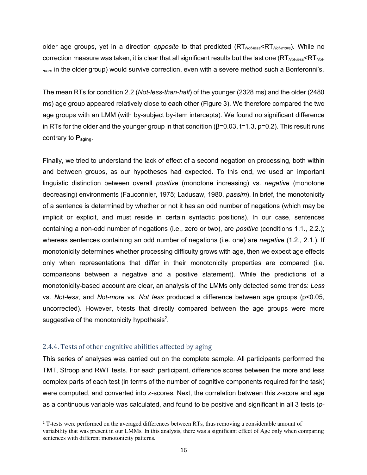older age groups, yet in a direction *opposite* to that predicted (RT*Not-less*<RT*Not-more*). While no correction measure was taken, it is clear that all significant results but the last one (RT*Not-less*<RT*Notmore* in the older group) would survive correction, even with a severe method such a Bonferonni's.

The mean RTs for condition 2.2 (*Not-less-than-half*) of the younger (2328 ms) and the older (2480 ms) age group appeared relatively close to each other (Figure 3). We therefore compared the two age groups with an LMM (with by-subject by-item intercepts). We found no significant difference in RTs for the older and the younger group in that condition ( $\beta$ =0.03, t=1.3, p=0.2). This result runs contrary to **Paging**.

Finally, we tried to understand the lack of effect of a second negation on processing, both within and between groups, as our hypotheses had expected. To this end, we used an important linguistic distinction between overall *positive* (monotone increasing) vs. *negative* (monotone decreasing) environments (Fauconnier, 1975; Ladusaw, 1980, *passim*). In brief, the monotonicity of a sentence is determined by whether or not it has an odd number of negations (which may be implicit or explicit, and must reside in certain syntactic positions). In our case, sentences containing a non-odd number of negations (i.e., zero or two), are *positive* (conditions 1.1., 2.2.); whereas sentences containing an odd number of negations (i.e. one) are *negative* (1.2., 2.1.). If monotonicity determines whether processing difficulty grows with age, then we expect age effects only when representations that differ in their monotonicity properties are compared (i.e. comparisons between a negative and a positive statement). While the predictions of a monotonicity-based account are clear, an analysis of the LMMs only detected some trends: *Less*  vs. *Not-less*, and *Not-more* vs. *Not less* produced a difference between age groups (p<0.05, uncorrected). However, t-tests that directly compared between the age groups were more suggestive of the monotonicity hypothesis<sup>2</sup>.

#### 2.4.4. Tests of other cognitive abilities affected by aging

This series of analyses was carried out on the complete sample. All participants performed the TMT, Stroop and RWT tests. For each participant, difference scores between the more and less complex parts of each test (in terms of the number of cognitive components required for the task) were computed, and converted into z-scores. Next, the correlation between this z-score and age as a continuous variable was calculated, and found to be positive and significant in all 3 tests (*p*-

<sup>&</sup>lt;sup>2</sup> T-tests were performed on the averaged differences between RTs, thus removing a considerable amount of variability that was present in our LMMs. In this analysis, there was a significant effect of Age only when comparing sentences with different monotonicity patterns.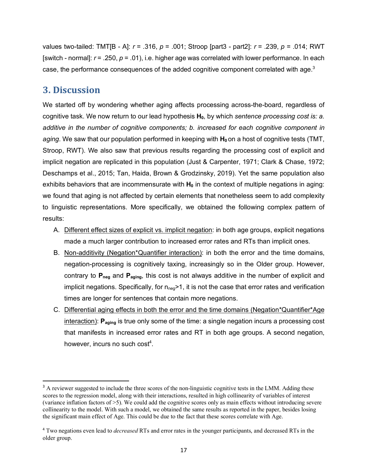values two-tailed: TMT[B - A]: *r* = .316, *p* = .001; Stroop [part3 - part2]: *r* = .239, *p* = .014; RWT [switch - normal]: *r* = .250, *p* = .01), i.e. higher age was correlated with lower performance. In each case, the performance consequences of the added cognitive component correlated with age. $3$ 

### **3. Discussion**

We started off by wondering whether aging affects processing across-the-board, regardless of cognitive task. We now return to our lead hypothesis H<sub>0</sub>, by which *sentence processing cost is: a. additive in the number of cognitive components; b. increased for each cognitive component in aging*. We saw that our population performed in keeping with **H**<sub>0</sub> on a host of cognitive tests (TMT, Stroop, RWT). We also saw that previous results regarding the processing cost of explicit and implicit negation are replicated in this population (Just & Carpenter, 1971; Clark & Chase, 1972; Deschamps et al., 2015; Tan, Haida, Brown & Grodzinsky, 2019). Yet the same population also exhibits behaviors that are incommensurate with  $H_0$  in the context of multiple negations in aging: we found that aging is not affected by certain elements that nonetheless seem to add complexity to linguistic representations. More specifically, we obtained the following complex pattern of results:

- A. Different effect sizes of explicit vs. implicit negation: in both age groups, explicit negations made a much larger contribution to increased error rates and RTs than implicit ones.
- B. Non-additivity (Negation\*Quantifier interaction): in both the error and the time domains, negation-processing is cognitively taxing, increasingly so in the Older group. However, contrary to **Pneg** and **Paging**, this cost is not always additive in the number of explicit and implicit negations. Specifically, for  $n_{neq}$ >1, it is not the case that error rates and verification times are longer for sentences that contain more negations.
- C. Differential aging effects in both the error and the time domains (Negation\*Quantifier\*Age interaction): **P**<sub>aging</sub> is true only some of the time: a single negation incurs a processing cost that manifests in increased error rates and RT in both age groups. A second negation, however, incurs no such  $cost<sup>4</sup>$ .

<sup>&</sup>lt;sup>3</sup> A reviewer suggested to include the three scores of the non-linguistic cognitive tests in the LMM. Adding these scores to the regression model, along with their interactions, resulted in high collinearity of variables of interest (variance inflation factors of >5). We could add the cognitive scores only as main effects without introducing severe collinearity to the model. With such a model, we obtained the same results as reported in the paper, besides losing the significant main effect of Age. This could be due to the fact that these scores correlate with Age.

<sup>4</sup> Two negations even lead to *decreased* RTs and error rates in the younger participants, and decreased RTs in the older group.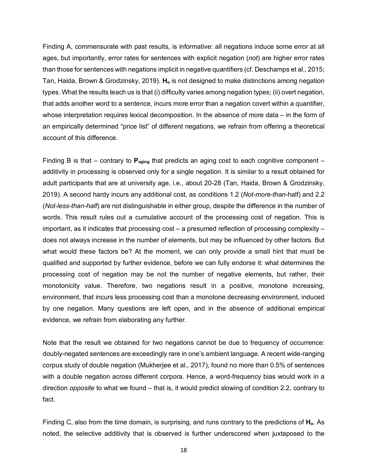Finding A, commensurate with past results, is informative: all negations induce some error at all ages, but importantly, error rates for sentences with explicit negation (*not*) are higher error rates than those for sentences with negations implicit in negative quantifiers (cf. Deschamps et al., 2015; Tan, Haida, Brown & Grodzinsky, 2019). **Ho** is not designed to make distinctions among negation types. What the results teach us is that (i) difficulty varies among negation types; (ii) overt negation, that adds another word to a sentence, incurs more error than a negation covert within a quantifier, whose interpretation requires lexical decomposition. In the absence of more data – in the form of an empirically determined "price list" of different negations, we refrain from offering a theoretical account of this difference.

Finding B is that – contrary to **Paging** that predicts an aging cost to each cognitive component – additivity in processing is observed only for a single negation. It is similar to a result obtained for adult participants that are at university age, i.e., about 20-28 (Tan, Haida, Brown & Grodzinsky, 2019). A second hardy incurs any additional cost, as conditions 1.2 (*Not-more-than-*half) and 2.2 (*Not-less-than-half*) are not distinguishable in either group, despite the difference in the number of words. This result rules out a cumulative account of the processing cost of negation. This is important, as it indicates that processing cost – a presumed reflection of processing complexity – does not always increase in the number of elements, but may be influenced by other factors. But what would these factors be? At the moment, we can only provide a small hint that must be qualified and supported by further evidence, before we can fully endorse it: what determines the processing cost of negation may be not the number of negative elements, but rather, their monotonicity value. Therefore, two negations result in a positive, monotone increasing, environment, that incurs less processing cost than a monotone decreasing environment, induced by one negation. Many questions are left open, and in the absence of additional empirical evidence, we refrain from elaborating any further.

Note that the result we obtained for two negations cannot be due to frequency of occurrence: doubly-negated sentences are exceedingly rare in one's ambient language. A recent wide-ranging corpus study of double negation (Mukherjee et al., 2017), found no more than 0.5% of sentences with a double negation across different corpora. Hence, a word-frequency bias would work in a direction *opposite* to what we found – that is, it would predict slowing of condition 2.2, contrary to fact.

Finding C, also from the time domain, is surprising, and runs contrary to the predictions of **Ho**. As noted, the selective additivity that is observed is further underscored when juxtaposed to the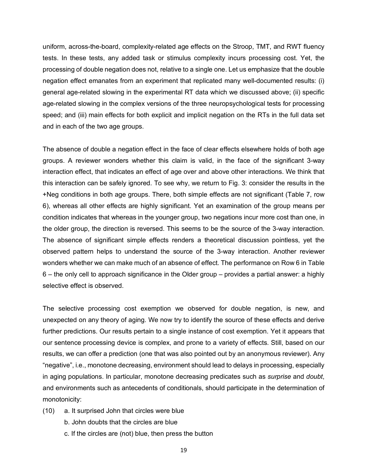uniform, across-the-board, complexity-related age effects on the Stroop, TMT, and RWT fluency tests. In these tests, any added task or stimulus complexity incurs processing cost. Yet, the processing of double negation does not, relative to a single one. Let us emphasize that the double negation effect emanates from an experiment that replicated many well-documented results: (i) general age-related slowing in the experimental RT data which we discussed above; (ii) specific age-related slowing in the complex versions of the three neuropsychological tests for processing speed; and (iii) main effects for both explicit and implicit negation on the RTs in the full data set and in each of the two age groups.

The absence of double a negation effect in the face of clear effects elsewhere holds of both age groups. A reviewer wonders whether this claim is valid, in the face of the significant 3-way interaction effect, that indicates an effect of age over and above other interactions. We think that this interaction can be safely ignored. To see why, we return to Fig. 3: consider the results in the +Neg conditions in both age groups. There, both simple effects are not significant (Table 7, row 6), whereas all other effects are highly significant. Yet an examination of the group means per condition indicates that whereas in the younger group, two negations incur more cost than one, in the older group, the direction is reversed. This seems to be the source of the 3-way interaction. The absence of significant simple effects renders a theoretical discussion pointless, yet the observed pattern helps to understand the source of the 3-way interaction. Another reviewer wonders whether we can make much of an absence of effect. The performance on Row 6 in Table 6 – the only cell to approach significance in the Older group – provides a partial answer: a highly selective effect is observed.

The selective processing cost exemption we observed for double negation, is new, and unexpected on any theory of aging. We now try to identify the source of these effects and derive further predictions. Our results pertain to a single instance of cost exemption. Yet it appears that our sentence processing device is complex, and prone to a variety of effects. Still, based on our results, we can offer a prediction (one that was also pointed out by an anonymous reviewer). Any "negative", i.e., monotone decreasing, environment should lead to delays in processing, especially in aging populations. In particular, monotone decreasing predicates such as *surprise* and *doubt*, and environments such as antecedents of conditionals, should participate in the determination of monotonicity:

- (10) a. It surprised John that circles were blue
	- b. John doubts that the circles are blue
	- c. If the circles are (not) blue, then press the button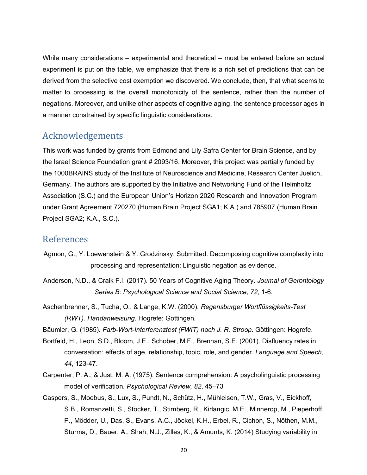While many considerations – experimental and theoretical – must be entered before an actual experiment is put on the table, we emphasize that there is a rich set of predictions that can be derived from the selective cost exemption we discovered. We conclude, then, that what seems to matter to processing is the overall monotonicity of the sentence, rather than the number of negations. Moreover, and unlike other aspects of cognitive aging, the sentence processor ages in a manner constrained by specific linguistic considerations.

# Acknowledgements

This work was funded by grants from Edmond and Lily Safra Center for Brain Science, and by the Israel Science Foundation grant # 2093/16. Moreover, this project was partially funded by the 1000BRAINS study of the Institute of Neuroscience and Medicine, Research Center Juelich, Germany. The authors are supported by the Initiative and Networking Fund of the Helmholtz Association (S.C.) and the European Union's Horizon 2020 Research and Innovation Program under Grant Agreement 720270 (Human Brain Project SGA1; K.A.) and 785907 (Human Brain Project SGA2; K.A., S.C.).

### References

- Agmon, G., Y. Loewenstein & Y. Grodzinsky. Submitted. Decomposing cognitive complexity into processing and representation: Linguistic negation as evidence.
- Anderson, N.D., & Craik F.I. (2017). 50 Years of Cognitive Aging Theory. *Journal of Gerontology Series B: Psychological Science and Social Science, 72*, 1-6.
- Aschenbrenner, S., Tucha, O., & Lange, K.W. (2000). *Regensburger Wortflüssigkeits-Test (RWT). Handanweisung.* Hogrefe: Göttingen.
- Bäumler, G. (1985). *Farb-Wort-Interferenztest (FWIT) nach J. R. Stroop*. Göttingen: Hogrefe.
- Bortfeld, H., Leon, S.D., Bloom, J.E., Schober, M.F., Brennan, S.E. (2001). Disfluency rates in conversation: effects of age, relationship, topic, role, and gender. *Language and Speech, 44*, 123-47.
- Carpenter, P. A., & Just, M. A. (1975). Sentence comprehension: A psycholinguistic processing model of verification. *Psychological Review, 82*, 45–73
- Caspers, S., Moebus, S., Lux, S., Pundt, N., Schütz, H., Mühleisen, T.W., Gras, V., Eickhoff, S.B., Romanzetti, S., Stöcker, T., Stirnberg, R., Kirlangic, M.E., Minnerop, M., Pieperhoff, P., Mödder, U., Das, S., Evans, A.C., Jöckel, K.H., Erbel, R., Cichon, S., Nöthen, M.M., Sturma, D., Bauer, A., Shah, N.J., Zilles, K., & Amunts, K. (2014) Studying variability in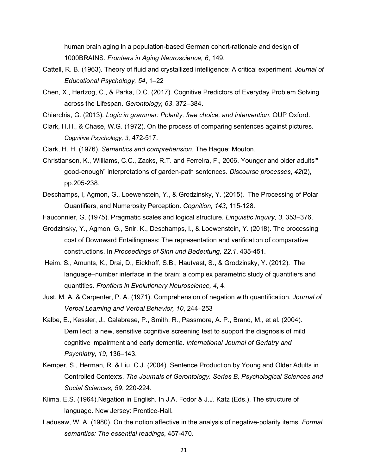human brain aging in a population-based German cohort-rationale and design of 1000BRAINS. *Frontiers in Aging Neuroscience, 6*, 149.

- Cattell, R. B. (1963). Theory of fluid and crystallized intelligence: A critical experiment. *Journal of Educational Psychology, 54*, 1–22
- Chen, X., Hertzog, C., & Parka, D.C. (2017). Cognitive Predictors of Everyday Problem Solving across the Lifespan. *Gerontology, 63*, 372–384.
- Chierchia, G. (2013). *Logic in grammar: Polarity, free choice, and intervention*. OUP Oxford.
- Clark, H.H., & Chase, W.G. (1972). On the process of comparing sentences against pictures. *Cognitive Psychology, 3*, 472-517.
- Clark, H. H. (1976). *Semantics and comprehension.* The Hague: Mouton.
- Christianson, K., Williams, C.C., Zacks, R.T. and Ferreira, F., 2006. Younger and older adults'" good-enough" interpretations of garden-path sentences. *Discourse processes*, *42*(2), pp.205-238.
- Deschamps, I, Agmon, G., Loewenstein, Y., & Grodzinsky, Y. (2015). The Processing of Polar Quantifiers, and Numerosity Perception. *Cognition, 143*, 115-128.
- Fauconnier, G. (1975). Pragmatic scales and logical structure. *Linguistic Inquiry, 3*, 353–376.
- Grodzinsky, Y., Agmon, G., Snir, K., Deschamps, I., & Loewenstein, Y. (2018). The processing cost of Downward Entailingness: The representation and verification of comparative constructions. In *Proceedings of Sinn und Bedeutung, 22.1*, 435-451.
- Heim, S., Amunts, K., Drai, D., Eickhoff, S.B., Hautvast, S., & Grodzinsky, Y. (2012). The language–number interface in the brain: a complex parametric study of quantifiers and quantities. *Frontiers in Evolutionary Neuroscience, 4*, 4.
- Just, M. A. & Carpenter, P. A. (1971). Comprehension of negation with quantification. *Journal of Verbal Learning and Verbal Behavior, 10*, 244–253
- Kalbe, E., Kessler, J., Calabrese, P., Smith, R., Passmore, A. P., Brand, M., et al. (2004). DemTect: a new, sensitive cognitive screening test to support the diagnosis of mild cognitive impairment and early dementia. *International Journal of Geriatry and Psychiatry, 19*, 136–143.
- Kemper, S., Herman, R. & Liu, C.J. (2004). Sentence Production by Young and Older Adults in Controlled Contexts. *The Journals of Gerontology. Series B, Psychological Sciences and Social Sciences, 59*, 220-224.
- Klima, E.S. (1964).Negation in English. In J.A. Fodor & J.J. Katz (Eds.), The structure of language. New Jersey: Prentice-Hall.
- Ladusaw, W. A. (1980). On the notion affective in the analysis of negative-polarity items. *Formal semantics: The essential readings*, 457-470.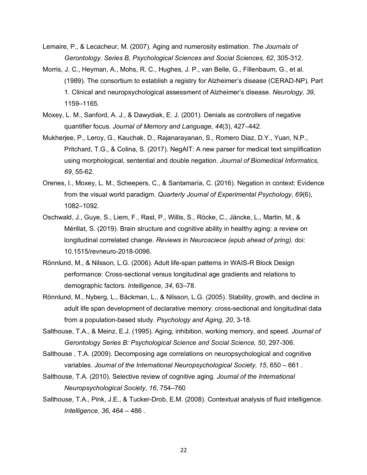- Lemaire, P., & Lecacheur, M. (2007). Aging and numerosity estimation. *The Journals of Gerontology. Series B, Psychological Sciences and Social Sciences, 62*, 305-312.
- Morris, J. C., Heyman, A., Mohs, R. C., Hughes, J. P., van Belle, G., Fillenbaum, G., et al. (1989). The consortium to establish a registry for Alzheimer's disease (CERAD-NP). Part 1. Clinical and neuropsychological assessment of Alzheimer's disease. *Neurology, 39*, 1159–1165.
- Moxey, L. M., Sanford, A. J., & Dawydiak, E. J. (2001). Denials as controllers of negative quantifier focus. *Journal of Memory and Language*, *44*(3), 427–442.
- Mukherjee, P., Leroy, G., Kauchak, D., Rajanarayanan, S., Romero Diaz, D.Y., Yuan, N.P., Pritchard, T.G., & Colina, S. (2017). NegAIT: A new parser for medical text simplification using morphological, sentential and double negation. *Journal of Biomedical Informatics, 69*, 55-62.
- Orenes, I., Moxey, L. M., Scheepers, C., & Santamaría, C. (2016). Negation in context: Evidence from the visual world paradigm. *Quarterly Journal of Experimental Psychology*, *69*(6), 1082–1092.
- Oschwald, J., Guye, S., Liem, F., Rast, P., Willis, S., Röcke, C., Jäncke, L., Martin, M., & Mérillat, S. (2019). Brain structure and cognitive ability in healthy aging: a review on longitudinal correlated change. *Reviews in Neurosciece (epub ahead of pring).* doi: 10.1515/revneuro-2018-0096.
- Rönnlund, M., & Nilsson, L.G. (2006). Adult life-span patterns in WAIS-R Block Design performance: Cross-sectional versus longitudinal age gradients and relations to demographic factors*. Intelligence, 34*, 63–78.
- Rönnlund, M., Nyberg, L., Bäckman, L., & Nilsson, L.G. (2005). Stability, growth, and decline in adult life span development of declarative memory: cross-sectional and longitudinal data from a population-based study. *Psychology and Aging, 20*, 3-18.
- Salthouse, T.A., & Meinz, E.J. (1995). Aging, inhibition, working memory, and speed. *Journal of Gerontology Series B: Psychological Science and Social Science, 50*, 297-306.
- Salthouse , T.A. (2009). Decomposing age correlations on neuropsychological and cognitive variables. *Journal of the International Neuropsychological Society, 15*, 650 – 661 .
- Salthouse, T.A. (2010). Selective review of cognitive aging. *Journal of the International Neuropsychological Society*, *16*, 754–760
- Salthouse, T.A., Pink, J.E., & Tucker-Drob, E.M. (2008). Contextual analysis of fluid intelligence. *Intelligence, 36*, 464 – 486 .